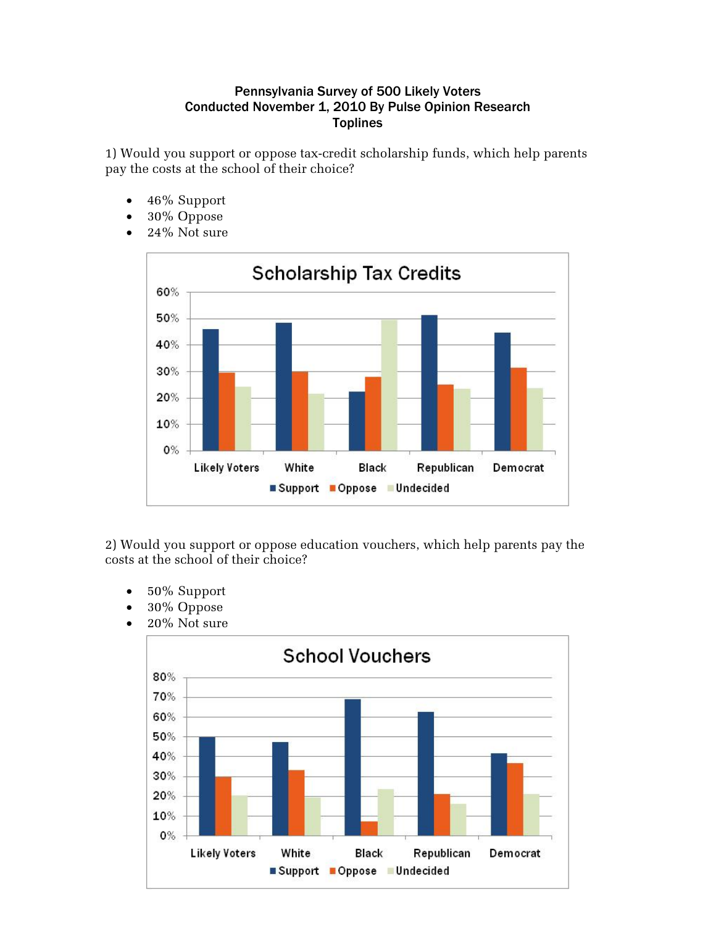## Pennsylvania Survey of 500 Likely Voters Conducted November 1, 2010 By Pulse Opinion Research **Toplines**

1) Would you support or oppose tax-credit scholarship funds, which help parents pay the costs at the school of their choice?

- 46% Support
- 30% Oppose
- 24% Not sure



2) Would you support or oppose education vouchers, which help parents pay the costs at the school of their choice?

- 50% Support
- 30% Oppose
- $\bullet$  20% Not sure

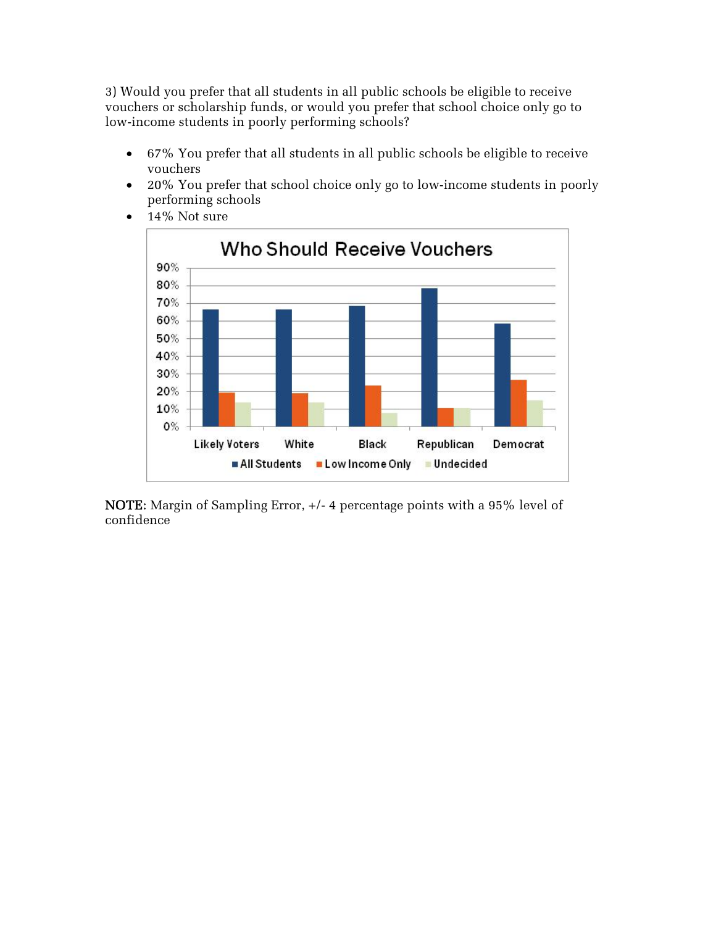3) Would you prefer that all students in all public schools be eligible to receive vouchers or scholarship funds, or would you prefer that school choice only go to low-income students in poorly performing schools?

- 67% You prefer that all students in all public schools be eligible to receive vouchers
- 20% You prefer that school choice only go to low-income students in poorly performing schools



 $\bullet$  14% Not sure

NOTE: Margin of Sampling Error, +/- 4 percentage points with a 95% level of confidence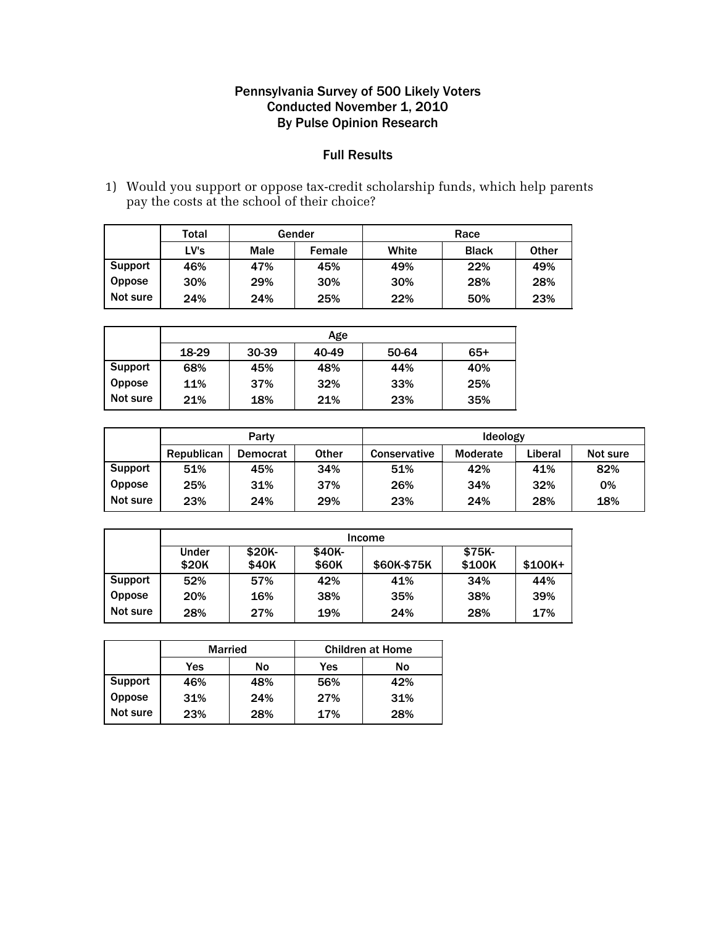## Pennsylvania Survey of 500 Likely Voters Conducted November 1, 2010 By Pulse Opinion Research

## Full Results

1) Would you support or oppose tax-credit scholarship funds, which help parents pay the costs at the school of their choice?

|                | Total | Gender |        | Race  |              |              |
|----------------|-------|--------|--------|-------|--------------|--------------|
|                | LV's  | Male   | Female | White | <b>Black</b> | <b>Other</b> |
| <b>Support</b> | 46%   | 47%    | 45%    | 49%   | 22%          | 49%          |
| <b>Oppose</b>  | 30%   | 29%    | 30%    | 30%   | 28%          | 28%          |
| Not sure       | 24%   | 24%    | 25%    | 22%   | 50%          | 23%          |

|               | Age   |       |       |       |     |  |  |  |
|---------------|-------|-------|-------|-------|-----|--|--|--|
|               | 18-29 | 30-39 | 40-49 | 50-64 | 65+ |  |  |  |
| Support       | 68%   | 45%   | 48%   | 44%   | 40% |  |  |  |
| <b>Oppose</b> | 11%   | 37%   | 32%   | 33%   | 25% |  |  |  |
| Not sure      | 21%   | 18%   | 21%   | 23%   | 35% |  |  |  |

|                | Party      |          |              | <b>Ideology</b>     |                 |         |          |
|----------------|------------|----------|--------------|---------------------|-----------------|---------|----------|
|                | Republican | Democrat | <b>Other</b> | <b>Conservative</b> | <b>Moderate</b> | ∟iberal | Not sure |
| <b>Support</b> | 51%        | 45%      | 34%          | 51%                 | 42%             | 41%     | 82%      |
| <b>Oppose</b>  | 25%        | 31%      | 37%          | 26%                 | 34%             | 32%     | 0%       |
| Not sure       | 23%        | 24%      | 29%          | 23%                 | 24%             | 28%     | 18%      |

|                | Income |        |        |             |         |          |  |  |
|----------------|--------|--------|--------|-------------|---------|----------|--|--|
|                | Under  | \$20K- | \$40K- |             | $$75K-$ |          |  |  |
|                | \$20K  | \$40K  | \$60K  | \$60K-\$75K | \$100K  | $$100K+$ |  |  |
| <b>Support</b> | 52%    | 57%    | 42%    | 41%         | 34%     | 44%      |  |  |
| <b>Oppose</b>  | 20%    | 16%    | 38%    | 35%         | 38%     | 39%      |  |  |
| Not sure       | 28%    | 27%    | 19%    | 24%         | 28%     | 17%      |  |  |

|                | <b>Married</b> |     | <b>Children at Home</b> |     |  |
|----------------|----------------|-----|-------------------------|-----|--|
|                | Yes<br>No      |     | Yes                     | No  |  |
| <b>Support</b> | 46%            | 48% | 56%                     | 42% |  |
| <b>Oppose</b>  | 31%            | 24% | 27%                     | 31% |  |
| Not sure       | 23%            | 28% | 17%                     | 28% |  |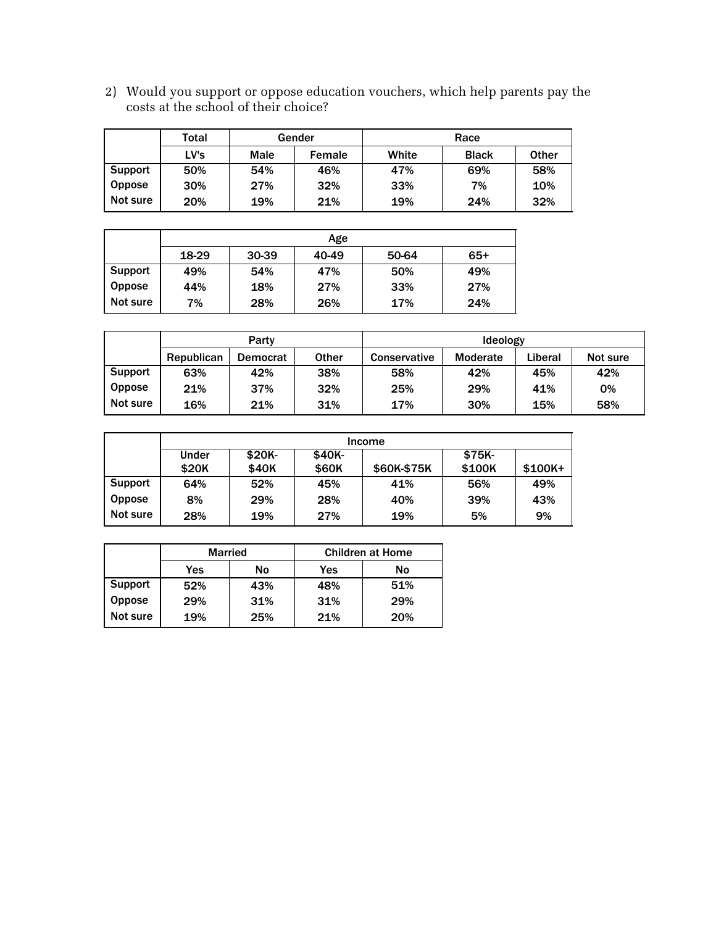2) Would you support or oppose education vouchers, which help parents pay the costs at the school of their choice?

|                | Total | Gender |        | Race  |              |              |
|----------------|-------|--------|--------|-------|--------------|--------------|
|                | LV's  | Male   | Female | White | <b>Black</b> | <b>Other</b> |
| <b>Support</b> | 50%   | 54%    | 46%    | 47%   | 69%          | 58%          |
| <b>Oppose</b>  | 30%   | 27%    | 32%    | 33%   | 7%           | 10%          |
| Not sure       | 20%   | 19%    | 21%    | 19%   | 24%          | 32%          |

|               | Age   |       |       |       |     |  |  |
|---------------|-------|-------|-------|-------|-----|--|--|
|               | 18-29 | 30-39 | 40-49 | 50-64 | 65+ |  |  |
| Support       | 49%   | 54%   | 47%   | 50%   | 49% |  |  |
| <b>Oppose</b> | 44%   | 18%   | 27%   | 33%   | 27% |  |  |
| Not sure      | 7%    | 28%   | 26%   | 17%   | 24% |  |  |

|                | Party      |          |       | <b>Ideology</b>     |                 |         |          |
|----------------|------------|----------|-------|---------------------|-----------------|---------|----------|
|                | Republican | Democrat | Other | <b>Conservative</b> | <b>Moderate</b> | Liberal | Not sure |
| <b>Support</b> | 63%        | 42%      | 38%   | 58%                 | 42%             | 45%     | 42%      |
| <b>Oppose</b>  | 21%        | 37%      | 32%   | 25%                 | 29%             | 41%     | 0%       |
| Not sure       | 16%        | 21%      | 31%   | 17%                 | 30%             | 15%     | 58%      |

|                | Income |         |        |             |        |          |  |  |
|----------------|--------|---------|--------|-------------|--------|----------|--|--|
|                | Under  | $$20K-$ | \$40K- |             | \$75K- |          |  |  |
|                | \$20K  | \$40K   | \$60K  | \$60K-\$75K | \$100K | $$100K+$ |  |  |
| <b>Support</b> | 64%    | 52%     | 45%    | 41%         | 56%    | 49%      |  |  |
| <b>Oppose</b>  | 8%     | 29%     | 28%    | 40%         | 39%    | 43%      |  |  |
| Not sure       | 28%    | 19%     | 27%    | 19%         | 5%     | 9%       |  |  |

|                | <b>Married</b> |     | <b>Children at Home</b> |     |  |
|----------------|----------------|-----|-------------------------|-----|--|
|                | Yes            | No  | Yes                     | No  |  |
| <b>Support</b> | 52%            | 43% | 48%                     | 51% |  |
| Oppose         | 29%            | 31% | 31%                     | 29% |  |
| Not sure       | 19%            | 25% | 21%                     | 20% |  |